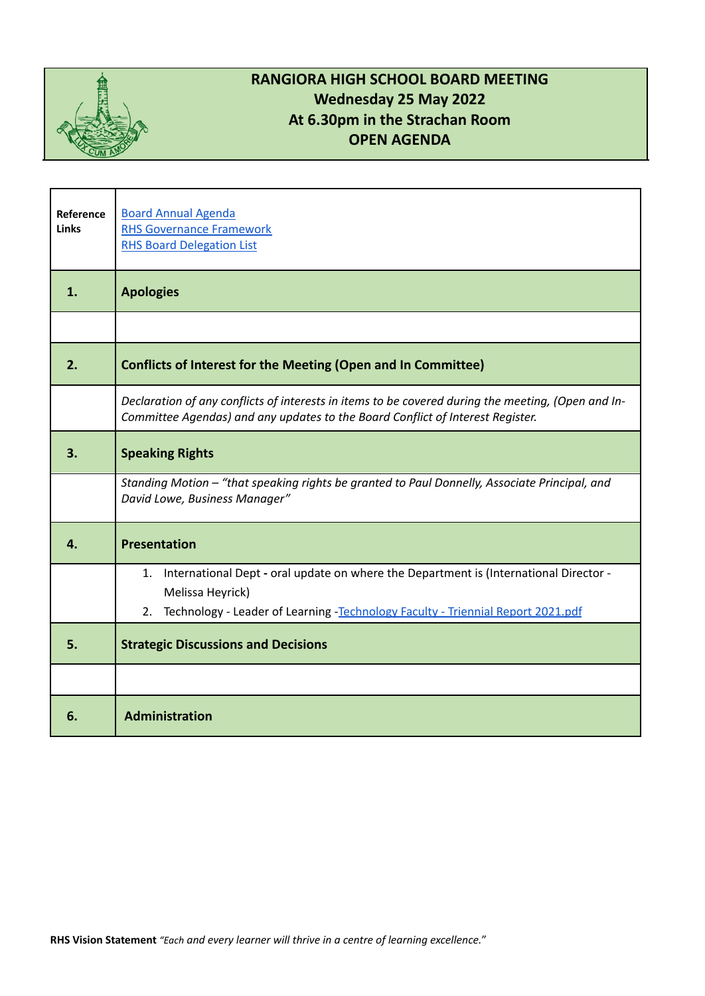

## **RANGIORA HIGH SCHOOL BOARD MEETING Wednesday 25 May 2022 At 6.30pm in the Strachan Room OPEN AGENDA**

| Reference<br><b>Links</b> | <b>Board Annual Agenda</b><br><b>RHS Governance Framework</b><br><b>RHS Board Delegation List</b>                                                                                    |
|---------------------------|--------------------------------------------------------------------------------------------------------------------------------------------------------------------------------------|
| 1.                        | <b>Apologies</b>                                                                                                                                                                     |
|                           |                                                                                                                                                                                      |
| 2.                        | <b>Conflicts of Interest for the Meeting (Open and In Committee)</b>                                                                                                                 |
|                           | Declaration of any conflicts of interests in items to be covered during the meeting, (Open and In-<br>Committee Agendas) and any updates to the Board Conflict of Interest Register. |
| 3.                        | <b>Speaking Rights</b>                                                                                                                                                               |
|                           | Standing Motion - "that speaking rights be granted to Paul Donnelly, Associate Principal, and<br>David Lowe, Business Manager"                                                       |
| 4.                        | <b>Presentation</b>                                                                                                                                                                  |
|                           | 1. International Dept - oral update on where the Department is (International Director -<br>Melissa Heyrick)                                                                         |
|                           | Technology - Leader of Learning -Technology Faculty - Triennial Report 2021.pdf<br>2.                                                                                                |
| 5.                        | <b>Strategic Discussions and Decisions</b>                                                                                                                                           |
|                           |                                                                                                                                                                                      |
| 6.                        | <b>Administration</b>                                                                                                                                                                |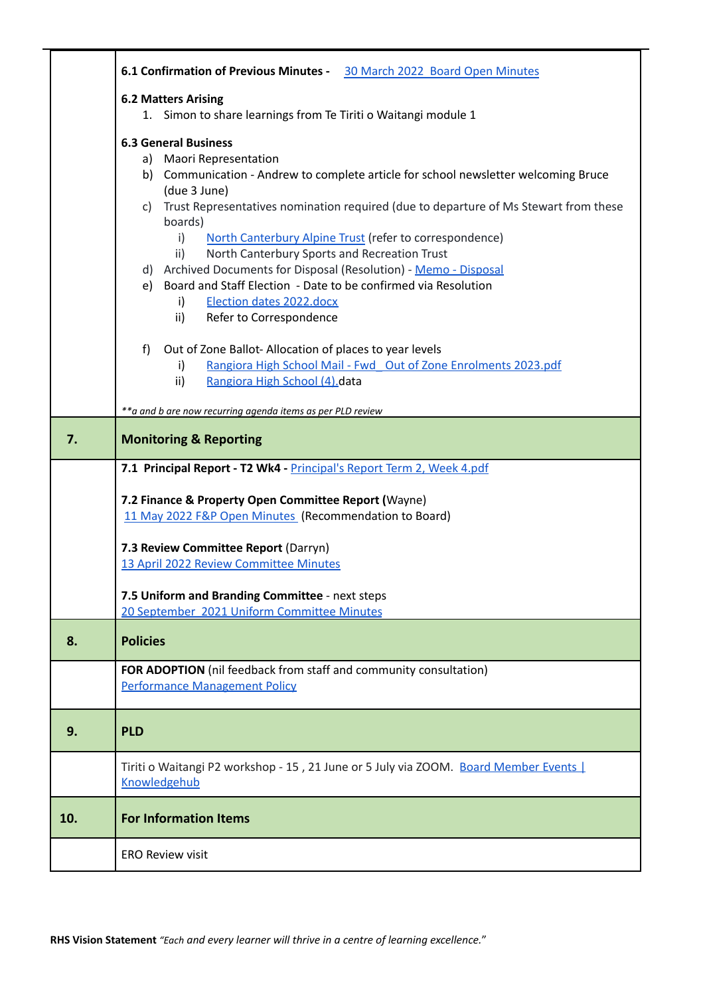|     | 6.1 Confirmation of Previous Minutes - 30 March 2022 Board Open Minutes                                                                |  |  |
|-----|----------------------------------------------------------------------------------------------------------------------------------------|--|--|
|     | <b>6.2 Matters Arising</b><br>1. Simon to share learnings from Te Tiriti o Waitangi module 1                                           |  |  |
|     | <b>6.3 General Business</b>                                                                                                            |  |  |
|     | a) Maori Representation                                                                                                                |  |  |
|     | b) Communication - Andrew to complete article for school newsletter welcoming Bruce                                                    |  |  |
|     | (due 3 June)<br>c) Trust Representatives nomination required (due to departure of Ms Stewart from these                                |  |  |
|     | boards)<br>$\mathsf{i}$<br>North Canterbury Alpine Trust (refer to correspondence)                                                     |  |  |
|     | North Canterbury Sports and Recreation Trust<br>$\mathsf{ii}$                                                                          |  |  |
|     | d) Archived Documents for Disposal (Resolution) - Memo - Disposal<br>e) Board and Staff Election - Date to be confirmed via Resolution |  |  |
|     | Election dates 2022.docx<br>i)                                                                                                         |  |  |
|     | Refer to Correspondence<br>$\mathsf{ii}$                                                                                               |  |  |
|     | Out of Zone Ballot-Allocation of places to year levels<br>f)                                                                           |  |  |
|     | Rangiora High School Mail - Fwd Out of Zone Enrolments 2023.pdf<br>i)<br>$\mathsf{ii}$<br>Rangiora High School (4).data                |  |  |
|     |                                                                                                                                        |  |  |
|     | ** a and b are now recurring agenda items as per PLD review                                                                            |  |  |
| 7.  | <b>Monitoring &amp; Reporting</b>                                                                                                      |  |  |
|     | 7.1 Principal Report - T2 Wk4 - Principal's Report Term 2, Week 4.pdf                                                                  |  |  |
|     | 7.2 Finance & Property Open Committee Report (Wayne)                                                                                   |  |  |
|     | 11 May 2022 F&P Open Minutes (Recommendation to Board)                                                                                 |  |  |
|     | 7.3 Review Committee Report (Darryn)                                                                                                   |  |  |
|     | 13 April 2022 Review Committee Minutes                                                                                                 |  |  |
|     | 7.5 Uniform and Branding Committee - next steps                                                                                        |  |  |
|     | 20 September 2021 Uniform Committee Minutes                                                                                            |  |  |
| 8.  | <b>Policies</b>                                                                                                                        |  |  |
|     | FOR ADOPTION (nil feedback from staff and community consultation)                                                                      |  |  |
|     | <b>Performance Management Policy</b>                                                                                                   |  |  |
| 9.  | <b>PLD</b>                                                                                                                             |  |  |
|     | Tiriti o Waitangi P2 workshop - 15, 21 June or 5 July via ZOOM. Board Member Events<br>Knowledgehub                                    |  |  |
| 10. | <b>For Information Items</b>                                                                                                           |  |  |
|     |                                                                                                                                        |  |  |
|     | <b>ERO Review visit</b>                                                                                                                |  |  |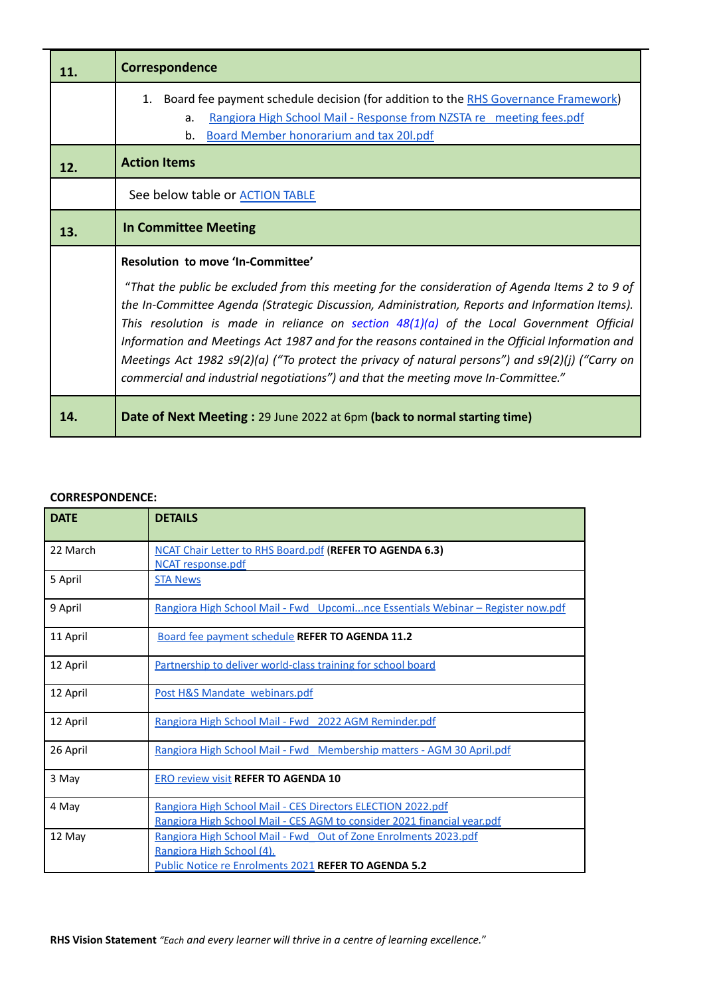| 11. | Correspondence                                                                                                                                                                                                                                                                                                                                                                                                                                                                                                                                                                             |  |
|-----|--------------------------------------------------------------------------------------------------------------------------------------------------------------------------------------------------------------------------------------------------------------------------------------------------------------------------------------------------------------------------------------------------------------------------------------------------------------------------------------------------------------------------------------------------------------------------------------------|--|
|     | Board fee payment schedule decision (for addition to the RHS Governance Framework)<br>1.<br>Rangiora High School Mail - Response from NZSTA re meeting fees.pdf<br>a.<br>b. Board Member honorarium and tax 20l.pdf                                                                                                                                                                                                                                                                                                                                                                        |  |
| 12. | <b>Action Items</b>                                                                                                                                                                                                                                                                                                                                                                                                                                                                                                                                                                        |  |
|     | See below table or <b>ACTION TABLE</b>                                                                                                                                                                                                                                                                                                                                                                                                                                                                                                                                                     |  |
| 13. | <b>In Committee Meeting</b>                                                                                                                                                                                                                                                                                                                                                                                                                                                                                                                                                                |  |
|     | Resolution to move 'In-Committee'                                                                                                                                                                                                                                                                                                                                                                                                                                                                                                                                                          |  |
|     | "That the public be excluded from this meeting for the consideration of Agenda Items 2 to 9 of<br>the In-Committee Agenda (Strategic Discussion, Administration, Reports and Information Items).<br>This resolution is made in reliance on section $48(1)(a)$ of the Local Government Official<br>Information and Meetings Act 1987 and for the reasons contained in the Official Information and<br>Meetings Act 1982 s9(2)(a) ("To protect the privacy of natural persons") and s9(2)(j) ("Carry on<br>commercial and industrial negotiations") and that the meeting move In-Committee." |  |
| 14. | Date of Next Meeting: 29 June 2022 at 6pm (back to normal starting time)                                                                                                                                                                                                                                                                                                                                                                                                                                                                                                                   |  |

## **CORRESPONDENCE:**

| <b>DATE</b> | <b>DETAILS</b>                                                                                                                                       |
|-------------|------------------------------------------------------------------------------------------------------------------------------------------------------|
| 22 March    | <b>NCAT Chair Letter to RHS Board.pdf (REFER TO AGENDA 6.3)</b><br>NCAT response.pdf                                                                 |
| 5 April     | <b>STA News</b>                                                                                                                                      |
| 9 April     | <u> Rangiora High School Mail - Fwd Upcomince Essentials Webinar – Register now.pdf</u>                                                              |
| 11 April    | <b>Board fee payment schedule REFER TO AGENDA 11.2</b>                                                                                               |
| 12 April    | Partnership to deliver world-class training for school board                                                                                         |
| 12 April    | Post H&S Mandate webinars.pdf                                                                                                                        |
| 12 April    | Rangiora High School Mail - Fwd 2022 AGM Reminder.pdf                                                                                                |
| 26 April    | Rangiora High School Mail - Fwd Membership matters - AGM 30 April.pdf                                                                                |
| 3 May       | <b>ERO review visit REFER TO AGENDA 10</b>                                                                                                           |
| 4 May       | Rangiora High School Mail - CES Directors ELECTION 2022.pdf<br>Rangiora High School Mail - CES AGM to consider 2021 financial year.pdf               |
| 12 May      | Rangiora High School Mail - Fwd Out of Zone Enrolments 2023.pdf<br>Rangiora High School (4).<br>Public Notice re Enrolments 2021 REFER TO AGENDA 5.2 |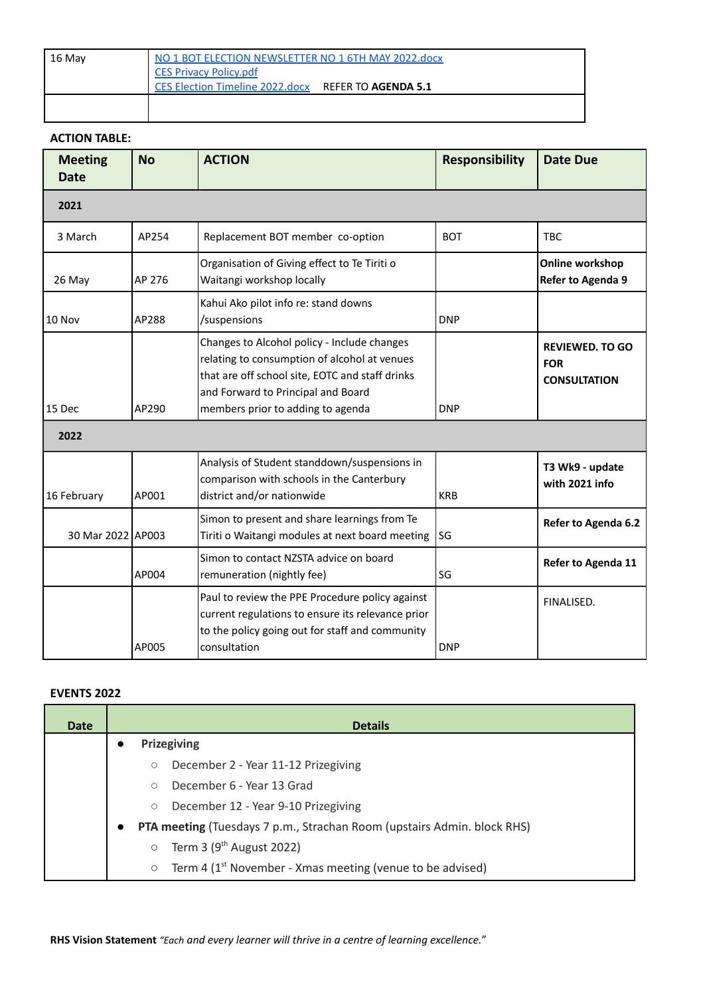| 16 May | NO 1 BOT ELECTION NEWSLETTER NO 1 6TH MAY 2022.docx<br>CES Privacy Policy.pdf |  |
|--------|-------------------------------------------------------------------------------|--|
|        | CES Election Timeline 2022.docx REFER TO AGENDA 5.1                           |  |
|        |                                                                               |  |

## **ACTION TABLE:**

 $\mathbf{I}$ 

| <b>Meeting</b><br><b>Date</b> | <b>No</b> | <b>ACTION</b>                                                                                                                                                                                                             | <b>Responsibility</b> | <b>Date Due</b>                                             |
|-------------------------------|-----------|---------------------------------------------------------------------------------------------------------------------------------------------------------------------------------------------------------------------------|-----------------------|-------------------------------------------------------------|
| 2021                          |           |                                                                                                                                                                                                                           |                       |                                                             |
| 3 March                       | AP254     | Replacement BOT member co-option                                                                                                                                                                                          | <b>BOT</b>            | <b>TBC</b>                                                  |
| 26 May                        | AP 276    | Organisation of Giving effect to Te Tiriti o<br>Waitangi workshop locally                                                                                                                                                 |                       | Online workshop<br>Refer to Agenda 9                        |
| 10 Nov                        | AP288     | Kahui Ako pilot info re: stand downs<br>/suspensions                                                                                                                                                                      | <b>DNP</b>            |                                                             |
| 15 Dec                        | AP290     | Changes to Alcohol policy - Include changes<br>relating to consumption of alcohol at venues<br>that are off school site, EOTC and staff drinks<br>and Forward to Principal and Board<br>members prior to adding to agenda | <b>DNP</b>            | <b>REVIEWED, TO GO</b><br><b>FOR</b><br><b>CONSULTATION</b> |
| 2022                          |           |                                                                                                                                                                                                                           |                       |                                                             |
| 16 February                   | AP001     | Analysis of Student standdown/suspensions in<br>comparison with schools in the Canterbury<br>district and/or nationwide                                                                                                   | <b>KRB</b>            | T3 Wk9 - update<br>with 2021 info                           |
| 30 Mar 2022 AP003             |           | Simon to present and share learnings from Te<br>Tiriti o Waitangi modules at next board meeting                                                                                                                           | SG                    | Refer to Agenda 6.2                                         |
|                               | AP004     | Simon to contact NZSTA advice on board<br>remuneration (nightly fee)                                                                                                                                                      | SG                    | Refer to Agenda 11                                          |
|                               | AP005     | Paul to review the PPE Procedure policy against<br>current regulations to ensure its relevance prior<br>to the policy going out for staff and community<br>consultation                                                   | <b>DNP</b>            | FINALISED.                                                  |

## **EVENTS 2022**

| <b>Date</b> | <b>Details</b>                                                                              |
|-------------|---------------------------------------------------------------------------------------------|
|             | <b>Prizegiving</b>                                                                          |
|             | December 2 - Year 11-12 Prizegiving<br>$\circ$                                              |
|             | December 6 - Year 13 Grad<br>$\bigcirc$                                                     |
|             | December 12 - Year 9-10 Prizegiving<br>$\circ$                                              |
|             | <b>PTA meeting (Tuesdays 7 p.m., Strachan Room (upstairs Admin. block RHS)</b><br>$\bullet$ |
|             | Term 3 ( $9th$ August 2022)<br>$\circ$                                                      |
|             | Term 4 ( $1st$ November - Xmas meeting (venue to be advised)<br>$\circ$                     |